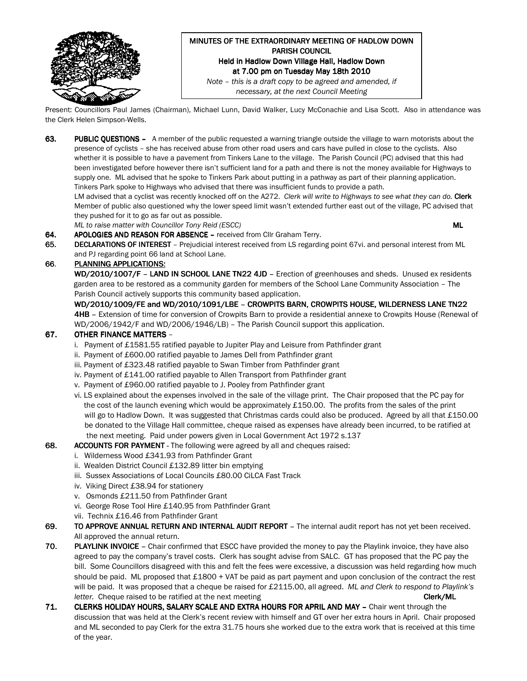

#### MINUTES OF THE EXTRAORDINARY MEETING OF HADLOW DOWN PARISH COUNCIL Held in Hadlow Down Village Hall, Hadlow Down at 7.00 pm on Tuesday May 18th 2010 Note – this is a draft copy to be agreed and amended, if

necessary, at the next Council Meeting

Present: Councillors Paul James (Chairman), Michael Lunn, David Walker, Lucy McConachie and Lisa Scott. Also in attendance was the Clerk Helen Simpson-Wells.

63. PUBLIC QUESTIONS - A member of the public requested a warning triangle outside the village to warn motorists about the presence of cyclists – she has received abuse from other road users and cars have pulled in close to the cyclists. Also whether it is possible to have a pavement from Tinkers Lane to the village. The Parish Council (PC) advised that this had been investigated before however there isn't sufficient land for a path and there is not the money available for Highways to supply one. ML advised that he spoke to Tinkers Park about putting in a pathway as part of their planning application. Tinkers Park spoke to Highways who advised that there was insufficient funds to provide a path.

LM advised that a cyclist was recently knocked off on the A272. Clerk will write to Highways to see what they can do. Clerk Member of public also questioned why the lower speed limit wasn't extended further east out of the village, PC advised that they pushed for it to go as far out as possible.

ML to raise matter with Councillor Tony Reid (ESCC) Number 2012 12:30 Number 2012 12:30 Number 2013

- 64. APOLOGIES AND REASON FOR ABSENCE received from Cllr Graham Terry.
- 65. DECLARATIONS OF INTEREST Prejudicial interest received from LS regarding point 67vi. and personal interest from ML and PJ regarding point 66 land at School Lane.

## 66. PLANNING APPLICATIONS:

WD/2010/1007/F - LAND IN SCHOOL LANE TN22 4JD - Erection of greenhouses and sheds. Unused ex residents garden area to be restored as a community garden for members of the School Lane Community Association – The Parish Council actively supports this community based application.

WD/2010/1009/FE and WD/2010/1091/LBE – CROWPITS BARN, CROWPITS HOUSE, WILDERNESS LANE TN22 4HB - Extension of time for conversion of Crowpits Barn to provide a residential annexe to Crowpits House (Renewal of WD/2006/1942/F and WD/2006/1946/LB) – The Parish Council support this application.

## 67. OTHER FINANCE MATTERS -

- i. Payment of £1581.55 ratified payable to Jupiter Play and Leisure from Pathfinder grant
- ii. Payment of £600.00 ratified payable to James Dell from Pathfinder grant
- iii. Payment of £323.48 ratified payable to Swan Timber from Pathfinder grant
- iv. Payment of £141.00 ratified payable to Allen Transport from Pathfinder grant
- v. Payment of £960.00 ratified payable to J. Pooley from Pathfinder grant
- vi. LS explained about the expenses involved in the sale of the village print. The Chair proposed that the PC pay for the cost of the launch evening which would be approximately £150.00. The profits from the sales of the print will go to Hadlow Down. It was suggested that Christmas cards could also be produced. Agreed by all that £150.00 be donated to the Village Hall committee, cheque raised as expenses have already been incurred, to be ratified at the next meeting. Paid under powers given in Local Government Act 1972 s.137
- 68. ACCOUNTS FOR PAYMENT The following were agreed by all and cheques raised:
	- i. Wilderness Wood £341.93 from Pathfinder Grant
	- ii. Wealden District Council £132.89 litter bin emptying
	- iii. Sussex Associations of Local Councils £80.00 CiLCA Fast Track
	- iv. Viking Direct £38.94 for stationery
	- v. Osmonds £211.50 from Pathfinder Grant
	- vi. George Rose Tool Hire £140.95 from Pathfinder Grant
	- vii. Technix £16.46 from Pathfinder Grant
- 69. TO APPROVE ANNUAL RETURN AND INTERNAL AUDIT REPORT The internal audit report has not yet been received. All approved the annual return.
- 70. PLAYLINK INVOICE Chair confirmed that ESCC have provided the money to pay the Playlink invoice, they have also agreed to pay the company's travel costs. Clerk has sought advise from SALC. GT has proposed that the PC pay the bill. Some Councillors disagreed with this and felt the fees were excessive, a discussion was held regarding how much should be paid. ML proposed that £1800 + VAT be paid as part payment and upon conclusion of the contract the rest will be paid. It was proposed that a cheque be raised for £2115.00, all agreed. ML and Clerk to respond to Playlink's letter. Cheque raised to be ratified at the next meeting Clerk/ML Clerk/ML
- 71. CLERKS HOLIDAY HOURS, SALARY SCALE AND EXTRA HOURS FOR APRIL AND MAY Chair went through the discussion that was held at the Clerk's recent review with himself and GT over her extra hours in April. Chair proposed and ML seconded to pay Clerk for the extra 31.75 hours she worked due to the extra work that is received at this time of the year.